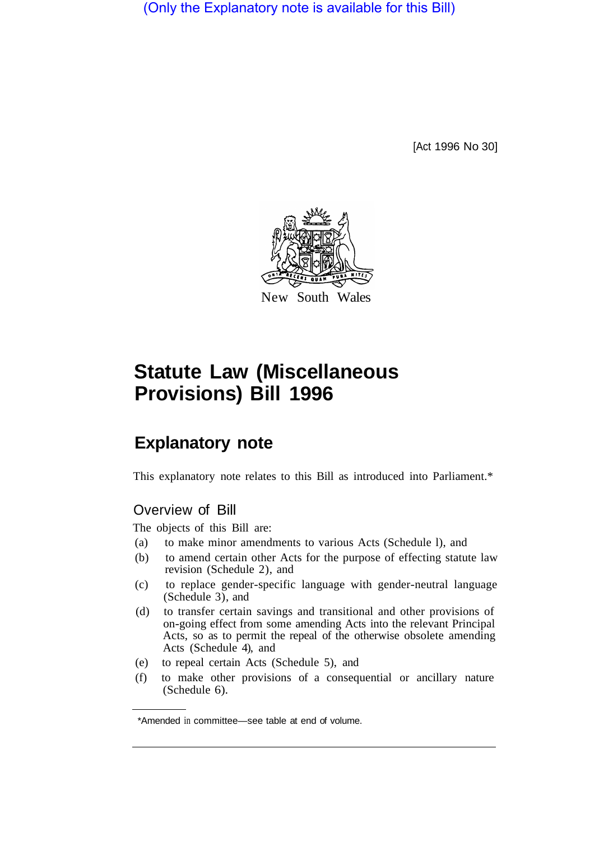(Only the Explanatory note is available for this Bill)

[Act 1996 No 30]



# **Statute Law (Miscellaneous Provisions) Bill 1996**

## **Explanatory note**

This explanatory note relates to this Bill as introduced into Parliament.\*

## Overview of Bill

The objects of this Bill are:

- (a) to make minor amendments to various Acts (Schedule l), and
- (b) to amend certain other Acts for the purpose of effecting statute law revision (Schedule 2), and
- (c) to replace gender-specific language with gender-neutral language (Schedule 3), and
- (d) to transfer certain savings and transitional and other provisions of on-going effect from some amending Acts into the relevant Principal Acts, so as to permit the repeal of the otherwise obsolete amending Acts (Schedule 4), and
- (e) to repeal certain Acts (Schedule 5), and
- (f) to make other provisions of a consequential or ancillary nature (Schedule 6).

<sup>\*</sup>Amended in committee—see table at end of volume.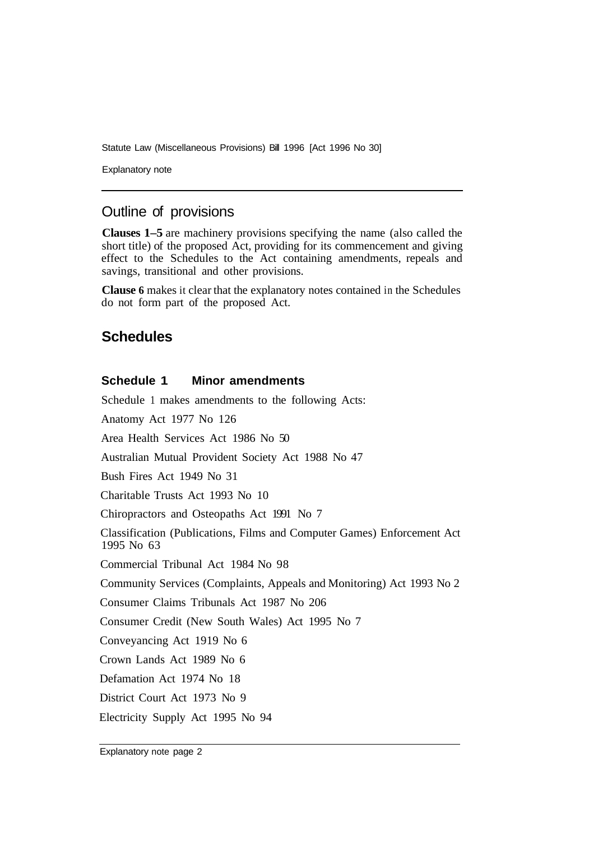Statute Law (Miscellaneous Provisions) Bill 1996 [Act 1996 No 30]

Explanatory note

## Outline of provisions

**Clauses 1–5** are machinery provisions specifying the name (also called the short title) of the proposed Act, providing for its commencement and giving effect to the Schedules to the Act containing amendments, repeals and savings, transitional and other provisions.

**Clause 6** makes it clear that the explanatory notes contained in the Schedules do not form part of the proposed Act.

## **Schedules**

#### **Schedule 1 Minor amendments**

Schedule 1 makes amendments to the following Acts: Anatomy Act 1977 No 126 Area Health Services Act 1986 No 50 Australian Mutual Provident Society Act 1988 No 47 Bush Fires Act 1949 No 31 Charitable Trusts Act 1993 No 10 Chiropractors and Osteopaths Act 1991 No 7 Classification (Publications, Films and Computer Games) Enforcement Act 1995 No 63 Commercial Tribunal Act 1984 No 98 Community Services (Complaints, Appeals and Monitoring) Act 1993 No 2 Consumer Claims Tribunals Act 1987 No 206 Consumer Credit (New South Wales) Act 1995 No 7 Conveyancing Act 1919 No 6 Crown Lands Act 1989 No 6 Defamation Act 1974 No 18 District Court Act 1973 No 9 Electricity Supply Act 1995 No 94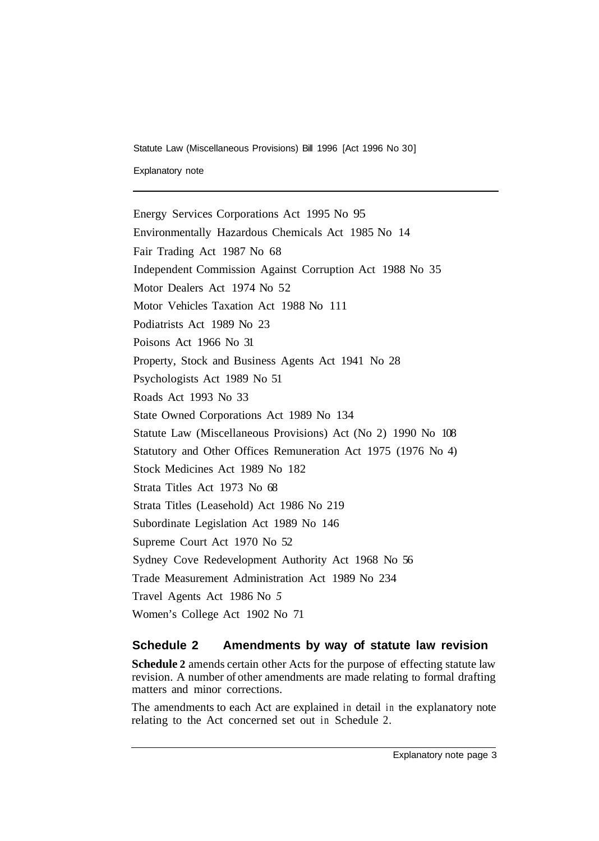Statute Law (Miscellaneous Provisions) Bill 1996 [Act 1996 No 30]

Explanatory note

Energy Services Corporations Act 1995 No 95 Environmentally Hazardous Chemicals Act 1985 No 14 Fair Trading Act 1987 No 68 Independent Commission Against Corruption Act 1988 No 35 Motor Dealers Act 1974 No 52 Motor Vehicles Taxation Act 1988 No 111 Podiatrists Act 1989 No 23 Poisons Act 1966 No 31 Property, Stock and Business Agents Act 1941 No 28 Psychologists Act 1989 No 51 Roads Act 1993 No 33 State Owned Corporations Act 1989 No 134 Statute Law (Miscellaneous Provisions) Act (No 2) 1990 No 108 Statutory and Other Offices Remuneration Act 1975 (1976 No 4) Stock Medicines Act 1989 No 182 Strata Titles Act 1973 No 68 Strata Titles (Leasehold) Act 1986 No 219 Subordinate Legislation Act 1989 No 146 Supreme Court Act 1970 No 52 Sydney Cove Redevelopment Authority Act 1968 No 56 Trade Measurement Administration Act 1989 No 234 Travel Agents Act 1986 No *5*  Women's College Act 1902 No 71

## **Schedule 2 Amendments by way of statute law revision**

**Schedule 2** amends certain other Acts for the purpose of effecting statute law revision. A number of other amendments are made relating to formal drafting matters and minor corrections.

The amendments to each Act are explained in detail in the explanatory note relating to the Act concerned set out in Schedule 2.